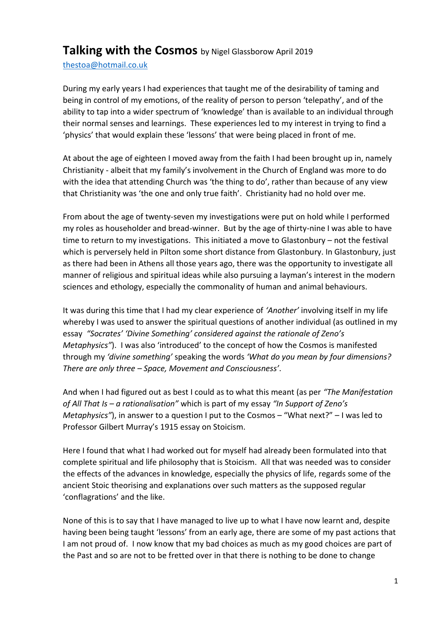## **Talking with the Cosmos** by Nigel Glassborow April <sup>2019</sup>

[thestoa@hotmail.co.uk](mailto:thestoa@hotmail.co.uk) 

During my early years I had experiences that taught me of the desirability of taming and being in control of my emotions, of the reality of person to person 'telepathy', and of the ability to tap into a wider spectrum of 'knowledge' than is available to an individual through their normal senses and learnings. These experiences led to my interest in trying to find a 'physics' that would explain these 'lessons' that were being placed in front of me.

At about the age of eighteen I moved away from the faith I had been brought up in, namely Christianity - albeit that my family's involvement in the Church of England was more to do with the idea that attending Church was 'the thing to do', rather than because of any view that Christianity was 'the one and only true faith'. Christianity had no hold over me.

From about the age of twenty-seven my investigations were put on hold while I performed my roles as householder and bread-winner. But by the age of thirty-nine I was able to have time to return to my investigations. This initiated a move to Glastonbury – not the festival which is perversely held in Pilton some short distance from Glastonbury. In Glastonbury, just as there had been in Athens all those years ago, there was the opportunity to investigate all manner of religious and spiritual ideas while also pursuing a layman's interest in the modern sciences and ethology, especially the commonality of human and animal behaviours.

It was during this time that I had my clear experience of *'Another'* involving itself in my life whereby I was used to answer the spiritual questions of another individual (as outlined in my essay *"Socrates' 'Divine Something' considered against the rationale of Zeno's Metaphysics"*). I was also 'introduced' to the concept of how the Cosmos is manifested through my *'divine something'* speaking the words *'What do you mean by four dimensions? There are only three – Space, Movement and Consciousness'*.

And when I had figured out as best I could as to what this meant (as per *"The Manifestation of All That Is – a rationalisation"* which is part of my essay *"In Support of Zeno's Metaphysics"*), in answer to a question I put to the Cosmos – "What next?" – I was led to Professor Gilbert Murray's 1915 essay on Stoicism.

Here I found that what I had worked out for myself had already been formulated into that complete spiritual and life philosophy that is Stoicism. All that was needed was to consider the effects of the advances in knowledge, especially the physics of life, regards some of the ancient Stoic theorising and explanations over such matters as the supposed regular 'conflagrations' and the like.

None of this is to say that I have managed to live up to what I have now learnt and, despite having been being taught 'lessons' from an early age, there are some of my past actions that I am not proud of. I now know that my bad choices as much as my good choices are part of the Past and so are not to be fretted over in that there is nothing to be done to change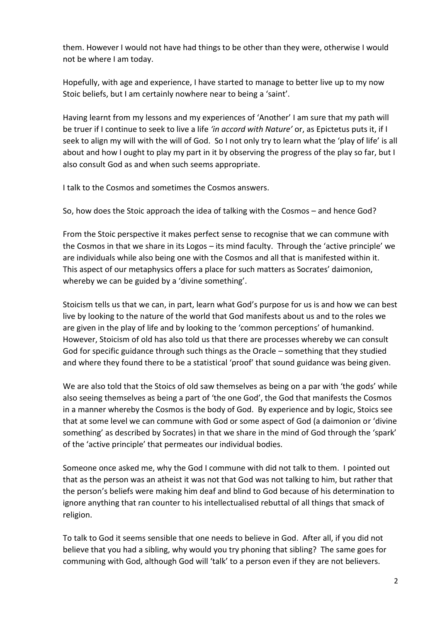them. However I would not have had things to be other than they were, otherwise I would not be where I am today.

Hopefully, with age and experience, I have started to manage to better live up to my now Stoic beliefs, but I am certainly nowhere near to being a 'saint'.

Having learnt from my lessons and my experiences of 'Another' I am sure that my path will be truer if I continue to seek to live a life *'in accord with Nature'* or, as Epictetus puts it, if I seek to align my will with the will of God. So I not only try to learn what the 'play of life' is all about and how I ought to play my part in it by observing the progress of the play so far, but I also consult God as and when such seems appropriate.

I talk to the Cosmos and sometimes the Cosmos answers.

So, how does the Stoic approach the idea of talking with the Cosmos – and hence God?

From the Stoic perspective it makes perfect sense to recognise that we can commune with the Cosmos in that we share in its Logos – its mind faculty. Through the 'active principle' we are individuals while also being one with the Cosmos and all that is manifested within it. This aspect of our metaphysics offers a place for such matters as Socrates' daimonion, whereby we can be guided by a 'divine something'.

Stoicism tells us that we can, in part, learn what God's purpose for us is and how we can best live by looking to the nature of the world that God manifests about us and to the roles we are given in the play of life and by looking to the 'common perceptions' of humankind. However, Stoicism of old has also told us that there are processes whereby we can consult God for specific guidance through such things as the Oracle – something that they studied and where they found there to be a statistical 'proof' that sound guidance was being given.

We are also told that the Stoics of old saw themselves as being on a par with 'the gods' while also seeing themselves as being a part of 'the one God', the God that manifests the Cosmos in a manner whereby the Cosmos is the body of God. By experience and by logic, Stoics see that at some level we can commune with God or some aspect of God (a daimonion or 'divine something' as described by Socrates) in that we share in the mind of God through the 'spark' of the 'active principle' that permeates our individual bodies.

Someone once asked me, why the God I commune with did not talk to them. I pointed out that as the person was an atheist it was not that God was not talking to him, but rather that the person's beliefs were making him deaf and blind to God because of his determination to ignore anything that ran counter to his intellectualised rebuttal of all things that smack of religion.

To talk to God it seems sensible that one needs to believe in God. After all, if you did not believe that you had a sibling, why would you try phoning that sibling? The same goes for communing with God, although God will 'talk' to a person even if they are not believers.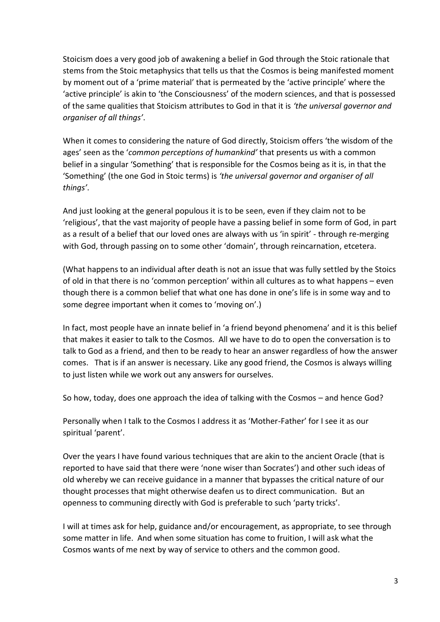Stoicism does a very good job of awakening a belief in God through the Stoic rationale that stems from the Stoic metaphysics that tells us that the Cosmos is being manifested moment by moment out of a 'prime material' that is permeated by the 'active principle' where the 'active principle' is akin to 'the Consciousness' of the modern sciences, and that is possessed of the same qualities that Stoicism attributes to God in that it is *'the universal governor and organiser of all things'*.

When it comes to considering the nature of God directly, Stoicism offers 'the wisdom of the ages' seen as the '*common perceptions of humankind'* that presents us with a common belief in a singular 'Something' that is responsible for the Cosmos being as it is, in that the 'Something' (the one God in Stoic terms) is *'the universal governor and organiser of all things'*.

And just looking at the general populous it is to be seen, even if they claim not to be 'religious', that the vast majority of people have a passing belief in some form of God, in part as a result of a belief that our loved ones are always with us 'in spirit' - through re-merging with God, through passing on to some other 'domain', through reincarnation, etcetera.

(What happens to an individual after death is not an issue that was fully settled by the Stoics of old in that there is no 'common perception' within all cultures as to what happens – even though there is a common belief that what one has done in one's life is in some way and to some degree important when it comes to 'moving on'.)

In fact, most people have an innate belief in 'a friend beyond phenomena' and it is this belief that makes it easier to talk to the Cosmos. All we have to do to open the conversation is to talk to God as a friend, and then to be ready to hear an answer regardless of how the answer comes. That is if an answer is necessary. Like any good friend, the Cosmos is always willing to just listen while we work out any answers for ourselves.

So how, today, does one approach the idea of talking with the Cosmos – and hence God?

Personally when I talk to the Cosmos I address it as 'Mother-Father' for I see it as our spiritual 'parent'.

Over the years I have found various techniques that are akin to the ancient Oracle (that is reported to have said that there were 'none wiser than Socrates') and other such ideas of old whereby we can receive guidance in a manner that bypasses the critical nature of our thought processes that might otherwise deafen us to direct communication. But an openness to communing directly with God is preferable to such 'party tricks'.

I will at times ask for help, guidance and/or encouragement, as appropriate, to see through some matter in life. And when some situation has come to fruition, I will ask what the Cosmos wants of me next by way of service to others and the common good.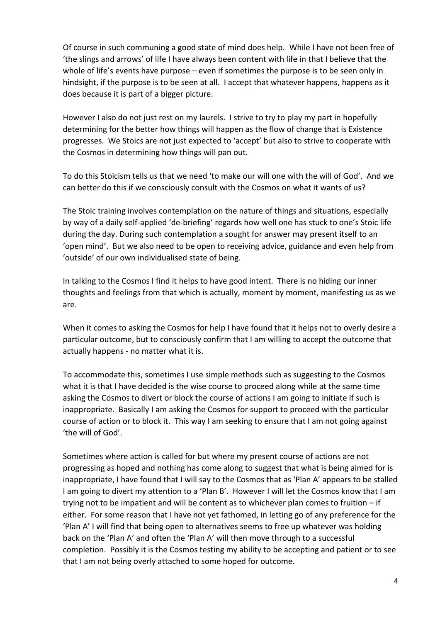Of course in such communing a good state of mind does help. While I have not been free of 'the slings and arrows' of life I have always been content with life in that I believe that the whole of life's events have purpose – even if sometimes the purpose is to be seen only in hindsight, if the purpose is to be seen at all. I accept that whatever happens, happens as it does because it is part of a bigger picture.

However I also do not just rest on my laurels. I strive to try to play my part in hopefully determining for the better how things will happen as the flow of change that is Existence progresses. We Stoics are not just expected to 'accept' but also to strive to cooperate with the Cosmos in determining how things will pan out.

To do this Stoicism tells us that we need 'to make our will one with the will of God'. And we can better do this if we consciously consult with the Cosmos on what it wants of us?

The Stoic training involves contemplation on the nature of things and situations, especially by way of a daily self-applied 'de-briefing' regards how well one has stuck to one's Stoic life during the day. During such contemplation a sought for answer may present itself to an 'open mind'. But we also need to be open to receiving advice, guidance and even help from 'outside' of our own individualised state of being.

In talking to the Cosmos I find it helps to have good intent. There is no hiding our inner thoughts and feelings from that which is actually, moment by moment, manifesting us as we are.

When it comes to asking the Cosmos for help I have found that it helps not to overly desire a particular outcome, but to consciously confirm that I am willing to accept the outcome that actually happens - no matter what it is.

To accommodate this, sometimes I use simple methods such as suggesting to the Cosmos what it is that I have decided is the wise course to proceed along while at the same time asking the Cosmos to divert or block the course of actions I am going to initiate if such is inappropriate. Basically I am asking the Cosmos for support to proceed with the particular course of action or to block it. This way I am seeking to ensure that I am not going against 'the will of God'.

Sometimes where action is called for but where my present course of actions are not progressing as hoped and nothing has come along to suggest that what is being aimed for is inappropriate, I have found that I will say to the Cosmos that as 'Plan A' appears to be stalled I am going to divert my attention to a 'Plan B'. However I will let the Cosmos know that I am trying not to be impatient and will be content as to whichever plan comes to fruition – if either. For some reason that I have not yet fathomed, in letting go of any preference for the 'Plan A' I will find that being open to alternatives seems to free up whatever was holding back on the 'Plan A' and often the 'Plan A' will then move through to a successful completion. Possibly it is the Cosmos testing my ability to be accepting and patient or to see that I am not being overly attached to some hoped for outcome.